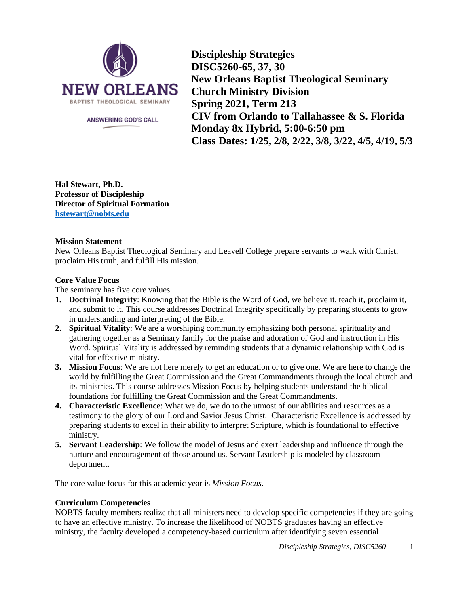

ANSWERING GOD'S CALL

**Discipleship Strategies DISC5260-65, 37, 30 New Orleans Baptist Theological Seminary Church Ministry Division Spring 2021, Term 213 CIV from Orlando to Tallahassee & S. Florida Monday 8x Hybrid, 5:00-6:50 pm Class Dates: 1/25, 2/8, 2/22, 3/8, 3/22, 4/5, 4/19, 5/3**

**Hal Stewart, Ph.D. Professor of Discipleship Director of Spiritual Formation hstewart@nobts.edu**

## **Mission Statement**

New Orleans Baptist Theological Seminary and Leavell College prepare servants to walk with Christ, proclaim His truth, and fulfill His mission.

# **Core Value Focus**

The seminary has five core values.

- **1. Doctrinal Integrity**: Knowing that the Bible is the Word of God, we believe it, teach it, proclaim it, and submit to it. This course addresses Doctrinal Integrity specifically by preparing students to grow in understanding and interpreting of the Bible.
- **2. Spiritual Vitality**: We are a worshiping community emphasizing both personal spirituality and gathering together as a Seminary family for the praise and adoration of God and instruction in His Word. Spiritual Vitality is addressed by reminding students that a dynamic relationship with God is vital for effective ministry.
- **3. Mission Focus**: We are not here merely to get an education or to give one. We are here to change the world by fulfilling the Great Commission and the Great Commandments through the local church and its ministries. This course addresses Mission Focus by helping students understand the biblical foundations for fulfilling the Great Commission and the Great Commandments.
- **4. Characteristic Excellence**: What we do, we do to the utmost of our abilities and resources as a testimony to the glory of our Lord and Savior Jesus Christ. Characteristic Excellence is addressed by preparing students to excel in their ability to interpret Scripture, which is foundational to effective ministry.
- **5. Servant Leadership**: We follow the model of Jesus and exert leadership and influence through the nurture and encouragement of those around us. Servant Leadership is modeled by classroom deportment.

The core value focus for this academic year is *Mission Focus*.

# **Curriculum Competencies**

NOBTS faculty members realize that all ministers need to develop specific competencies if they are going to have an effective ministry. To increase the likelihood of NOBTS graduates having an effective ministry, the faculty developed a competency-based curriculum after identifying seven essential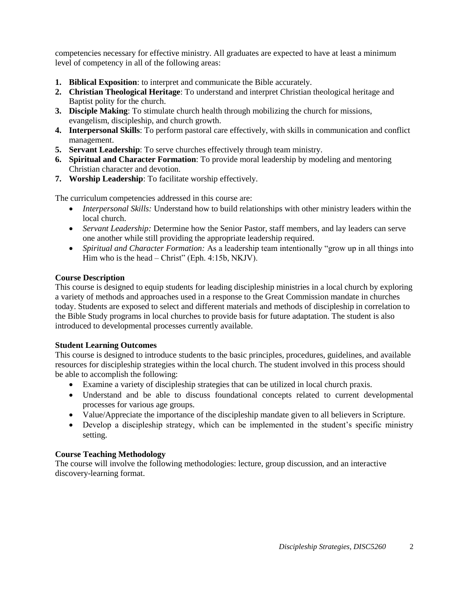competencies necessary for effective ministry. All graduates are expected to have at least a minimum level of competency in all of the following areas:

- **1. Biblical Exposition**: to interpret and communicate the Bible accurately.
- **2. Christian Theological Heritage**: To understand and interpret Christian theological heritage and Baptist polity for the church.
- **3. Disciple Making**: To stimulate church health through mobilizing the church for missions, evangelism, discipleship, and church growth.
- **4. Interpersonal Skills**: To perform pastoral care effectively, with skills in communication and conflict management.
- **5. Servant Leadership**: To serve churches effectively through team ministry.
- **6. Spiritual and Character Formation**: To provide moral leadership by modeling and mentoring Christian character and devotion.
- **7. Worship Leadership**: To facilitate worship effectively.

The curriculum competencies addressed in this course are:

- *Interpersonal Skills:* Understand how to build relationships with other ministry leaders within the local church.
- *Servant Leadership:* Determine how the Senior Pastor, staff members, and lay leaders can serve one another while still providing the appropriate leadership required.
- *Spiritual and Character Formation:* As a leadership team intentionally "grow up in all things into Him who is the head – Christ" (Eph. 4:15b, NKJV).

## **Course Description**

This course is designed to equip students for leading discipleship ministries in a local church by exploring a variety of methods and approaches used in a response to the Great Commission mandate in churches today. Students are exposed to select and different materials and methods of discipleship in correlation to the Bible Study programs in local churches to provide basis for future adaptation. The student is also introduced to developmental processes currently available.

## **Student Learning Outcomes**

This course is designed to introduce students to the basic principles, procedures, guidelines, and available resources for discipleship strategies within the local church. The student involved in this process should be able to accomplish the following:

- Examine a variety of discipleship strategies that can be utilized in local church praxis.
- Understand and be able to discuss foundational concepts related to current developmental processes for various age groups.
- Value/Appreciate the importance of the discipleship mandate given to all believers in Scripture.
- Develop a discipleship strategy, which can be implemented in the student's specific ministry setting.

## **Course Teaching Methodology**

The course will involve the following methodologies: lecture, group discussion, and an interactive discovery-learning format.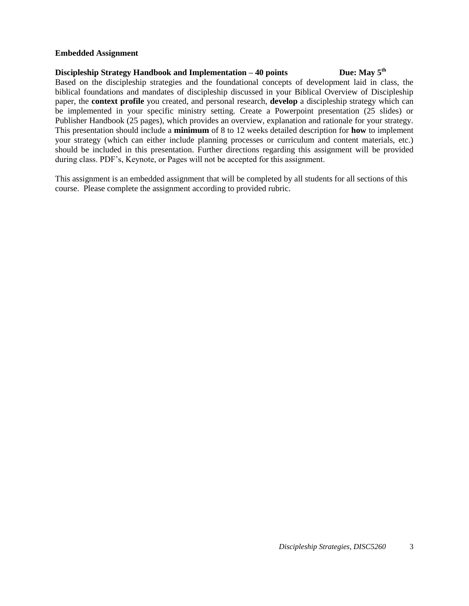#### **Embedded Assignment**

#### **Discipleship Strategy Handbook and Implementation – 40 points** Due: May 5<sup>th</sup>

Based on the discipleship strategies and the foundational concepts of development laid in class, the biblical foundations and mandates of discipleship discussed in your Biblical Overview of Discipleship paper, the **context profile** you created, and personal research, **develop** a discipleship strategy which can be implemented in your specific ministry setting. Create a Powerpoint presentation (25 slides) or Publisher Handbook (25 pages), which provides an overview, explanation and rationale for your strategy. This presentation should include a **minimum** of 8 to 12 weeks detailed description for **how** to implement your strategy (which can either include planning processes or curriculum and content materials, etc.) should be included in this presentation. Further directions regarding this assignment will be provided during class. PDF's, Keynote, or Pages will not be accepted for this assignment.

This assignment is an embedded assignment that will be completed by all students for all sections of this course. Please complete the assignment according to provided rubric.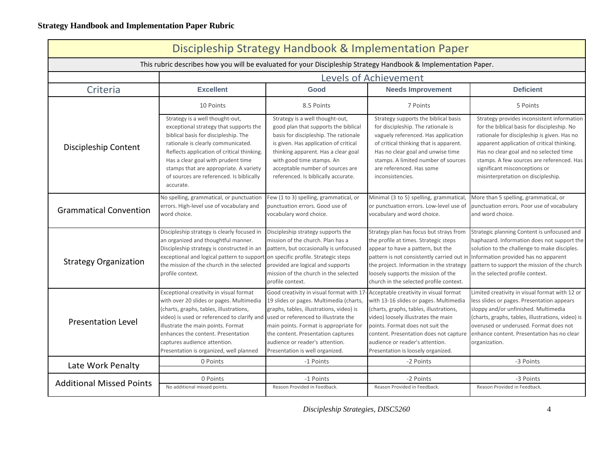| Discipleship Strategy Handbook & Implementation Paper                                                           |                                                                                                                                                                                                                                                                                                                                                |                                                                                                                                                                                                                                                                                                                               |                                                                                                                                                                                                                                                                                                                           |                                                                                                                                                                                                                                                                                                                                                      |  |  |  |
|-----------------------------------------------------------------------------------------------------------------|------------------------------------------------------------------------------------------------------------------------------------------------------------------------------------------------------------------------------------------------------------------------------------------------------------------------------------------------|-------------------------------------------------------------------------------------------------------------------------------------------------------------------------------------------------------------------------------------------------------------------------------------------------------------------------------|---------------------------------------------------------------------------------------------------------------------------------------------------------------------------------------------------------------------------------------------------------------------------------------------------------------------------|------------------------------------------------------------------------------------------------------------------------------------------------------------------------------------------------------------------------------------------------------------------------------------------------------------------------------------------------------|--|--|--|
| This rubric describes how you will be evaluated for your Discipleship Strategy Handbook & Implementation Paper. |                                                                                                                                                                                                                                                                                                                                                |                                                                                                                                                                                                                                                                                                                               |                                                                                                                                                                                                                                                                                                                           |                                                                                                                                                                                                                                                                                                                                                      |  |  |  |
|                                                                                                                 | <b>Levels of Achievement</b>                                                                                                                                                                                                                                                                                                                   |                                                                                                                                                                                                                                                                                                                               |                                                                                                                                                                                                                                                                                                                           |                                                                                                                                                                                                                                                                                                                                                      |  |  |  |
| Criteria                                                                                                        | <b>Excellent</b>                                                                                                                                                                                                                                                                                                                               | Good                                                                                                                                                                                                                                                                                                                          | <b>Needs Improvement</b>                                                                                                                                                                                                                                                                                                  | <b>Deficient</b>                                                                                                                                                                                                                                                                                                                                     |  |  |  |
|                                                                                                                 | 10 Points                                                                                                                                                                                                                                                                                                                                      | 8.5 Points                                                                                                                                                                                                                                                                                                                    | 7 Points                                                                                                                                                                                                                                                                                                                  | 5 Points                                                                                                                                                                                                                                                                                                                                             |  |  |  |
| Discipleship Content                                                                                            | Strategy is a well thought-out,<br>exceptional strategy that supports the<br>biblical basis for discipleship. The<br>rationale is clearly communicated.<br>Reflects application of critical thinking.<br>Has a clear goal with prudent time<br>stamps that are appropriate. A variety<br>of sources are referenced. Is biblically<br>accurate. | Strategy is a well thought-out,<br>good plan that supports the biblical<br>basis for discipleship. The rationale<br>is given. Has application of critical<br>thinking apparent. Has a clear goal<br>with good time stamps. An<br>acceptable number of sources are<br>referenced. Is biblically accurate.                      | Strategy supports the biblical basis<br>for discipleship. The rationale is<br>vaguely referenced. Has application<br>of critical thinking that is apparent.<br>Has no clear goal and unwise time<br>stamps. A limited number of sources<br>are referenced. Has some<br>inconsistencies.                                   | Strategy provides inconsistent information<br>for the biblical basis for discipleship. No<br>rationale for discipleship is given. Has no<br>apparent application of critical thinking.<br>Has no clear goal and no selected time<br>stamps. A few sources are referenced. Has<br>significant misconceptions or<br>misinterpretation on discipleship. |  |  |  |
| <b>Grammatical Convention</b>                                                                                   | No spelling, grammatical, or punctuation<br>errors. High-level use of vocabulary and<br>word choice.                                                                                                                                                                                                                                           | Few (1 to 3) spelling, grammatical, or<br>punctuation errors. Good use of<br>vocabulary word choice.                                                                                                                                                                                                                          | Minimal (3 to 5) spelling, grammatical,<br>or punctuation errors. Low-level use of<br>vocabulary and word choice.                                                                                                                                                                                                         | More than 5 spelling, grammatical, or<br>punctuation errors. Poor use of vocabulary<br>and word choice.                                                                                                                                                                                                                                              |  |  |  |
| <b>Strategy Organization</b>                                                                                    | Discipleship strategy is clearly focused in<br>an organized and thoughtful manner.<br>Discipleship strategy is constructed in an<br>exceptional and logical pattern to support on specific profile. Strategic steps<br>the mission of the church in the selected<br>profile context.                                                           | Discipleship strategy supports the<br>mission of the church. Plan has a<br>pattern, but occasionally is unfocused<br>provided are logical and supports<br>mission of the church in the selected<br>profile context.                                                                                                           | Strategy plan has focus but strays from<br>the profile at times. Strategic steps<br>appear to have a pattern, but the<br>pattern is not consistently carried out in<br>the project. Information in the strategy<br>loosely supports the mission of the<br>church in the selected profile context.                         | Strategic planning Content is unfocused and<br>haphazard. Information does not support the<br>solution to the challenge to make disciples.<br>Information provided has no apparent<br>pattern to support the mission of the church<br>in the selected profile context.                                                                               |  |  |  |
| <b>Presentation Level</b>                                                                                       | Exceptional creativity in visual format<br>with over 20 slides or pages. Multimedia<br>(charts, graphs, tables, illustrations,<br>video) is used or referenced to clarify and<br>illustrate the main points. Format<br>enhances the content. Presentation<br>captures audience attention.<br>Presentation is organized, well planned           | Good creativity in visual format with 17<br>19 slides or pages. Multimedia (charts,<br>graphs, tables, illustrations, video) is<br>used or referenced to illustrate the<br>main points. Format is appropriate for<br>the content. Presentation captures<br>audience or reader's attention.<br>Presentation is well organized. | Acceptable creativity in visual format<br>with 13-16 slides or pages. Multimedia<br>(charts, graphs, tables, illustrations,<br>video) loosely illustrates the main<br>points. Format does not suit the<br>content. Presentation does not capture<br>audience or reader's attention.<br>Presentation is loosely organized. | Limited creativity in visual format with 12 or<br>less slides or pages. Presentation appears<br>sloppy and/or unfinished. Multimedia<br>(charts, graphs, tables, illustrations, video) is<br>overused or underused. Format does not<br>enhance content. Presentation has no clear<br>organization.                                                   |  |  |  |
| Late Work Penalty                                                                                               | 0 Points                                                                                                                                                                                                                                                                                                                                       | -1 Points                                                                                                                                                                                                                                                                                                                     | -2 Points                                                                                                                                                                                                                                                                                                                 | -3 Points                                                                                                                                                                                                                                                                                                                                            |  |  |  |
| <b>Additional Missed Points</b>                                                                                 | 0 Points<br>No additional missed points.                                                                                                                                                                                                                                                                                                       | -1 Points<br>Reason Provided in Feedback.                                                                                                                                                                                                                                                                                     | -2 Points<br>Reason Provided in Feedback.                                                                                                                                                                                                                                                                                 | -3 Points<br>Reason Provided in Feedback.                                                                                                                                                                                                                                                                                                            |  |  |  |

*Discipleship Strategies, DISC5260* 4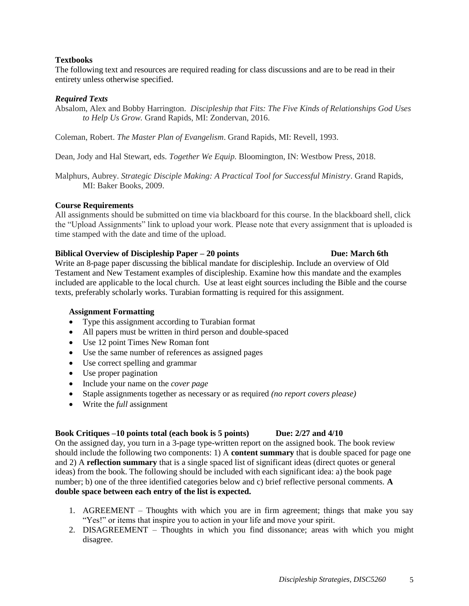## **Textbooks**

The following text and resources are required reading for class discussions and are to be read in their entirety unless otherwise specified.

## *Required Texts*

Absalom, Alex and Bobby Harrington. *Discipleship that Fits: The Five Kinds of Relationships God Uses to Help Us Grow.* Grand Rapids, MI: Zondervan, 2016.

Coleman, Robert. *The Master Plan of Evangelism*. Grand Rapids, MI: Revell, 1993.

Dean, Jody and Hal Stewart, eds. *Together We Equip.* Bloomington, IN: Westbow Press, 2018.

Malphurs, Aubrey. *Strategic Disciple Making: A Practical Tool for Successful Ministry*. Grand Rapids, MI: Baker Books, 2009.

## **Course Requirements**

All assignments should be submitted on time via blackboard for this course. In the blackboard shell, click the "Upload Assignments" link to upload your work. Please note that every assignment that is uploaded is time stamped with the date and time of the upload.

## **Biblical Overview of Discipleship Paper – 20 points Due: March 6th**

Write an 8-page paper discussing the biblical mandate for discipleship. Include an overview of Old Testament and New Testament examples of discipleship. Examine how this mandate and the examples included are applicable to the local church. Use at least eight sources including the Bible and the course texts, preferably scholarly works. Turabian formatting is required for this assignment.

## **Assignment Formatting**

- Type this assignment according to Turabian format
- All papers must be written in third person and double-spaced
- Use 12 point Times New Roman font
- Use the same number of references as assigned pages
- Use correct spelling and grammar
- Use proper pagination
- Include your name on the *cover page*
- Staple assignments together as necessary or as required *(no report covers please)*
- Write the *full* assignment

## **Book Critiques –10 points total (each book is 5 points) Due: 2/27 and 4/10**

On the assigned day, you turn in a 3-page type-written report on the assigned book. The book review should include the following two components: 1) A **content summary** that is double spaced for page one and 2) A **reflection summary** that is a single spaced list of significant ideas (direct quotes or general ideas) from the book. The following should be included with each significant idea: a) the book page number; b) one of the three identified categories below and c) brief reflective personal comments. **A double space between each entry of the list is expected.**

- 1. AGREEMENT Thoughts with which you are in firm agreement; things that make you say "Yes!" or items that inspire you to action in your life and move your spirit.
- 2. DISAGREEMENT Thoughts in which you find dissonance; areas with which you might disagree.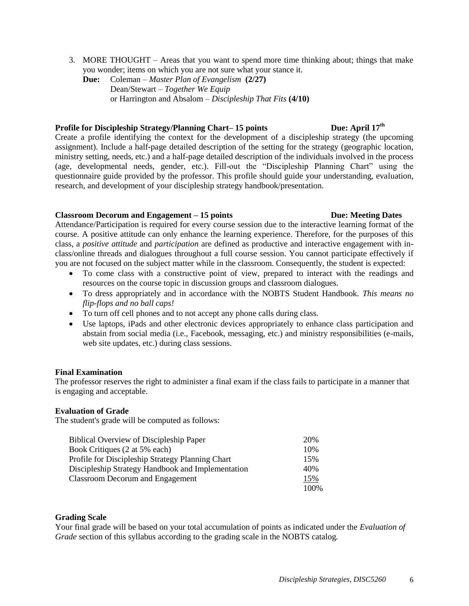- 3. MORE THOUGHT Areas that you want to spend more time thinking about; things that make you wonder; items on which you are not sure what your stance it.
	- **Due:** Coleman *Master Plan of Evangelism* **(2/27)** Dean/Stewart *– Together We Equip* or Harrington and Absalom – *Discipleship That Fits* **(4/10)**

# **Profile for Discipleship Strategy/Planning Chart– 15 points Due: April 17th**

Create a profile identifying the context for the development of a discipleship strategy (the upcoming assignment). Include a half-page detailed description of the setting for the strategy (geographic location, ministry setting, needs, etc.) and a half-page detailed description of the individuals involved in the process (age, developmental needs, gender, etc.). Fill-out the "Discipleship Planning Chart" using the questionnaire guide provided by the professor. This profile should guide your understanding, evaluation, research, and development of your discipleship strategy handbook/presentation.

#### **Classroom Decorum and Engagement – 15 points Due: Meeting Dates**

Attendance/Participation is required for every course session due to the interactive learning format of the course. A positive attitude can only enhance the learning experience. Therefore, for the purposes of this class, a *positive attitude* and *participation* are defined as productive and interactive engagement with inclass/online threads and dialogues throughout a full course session. You cannot participate effectively if you are not focused on the subject matter while in the classroom. Consequently, the student is expected:

- To come class with a constructive point of view, prepared to interact with the readings and resources on the course topic in discussion groups and classroom dialogues.
- To dress appropriately and in accordance with the NOBTS Student Handbook. *This means no flip-flops and no ball caps!*
- To turn off cell phones and to not accept any phone calls during class.
- Use laptops, iPads and other electronic devices appropriately to enhance class participation and abstain from social media (i.e., Facebook, messaging, etc.) and ministry responsibilities (e-mails, web site updates, etc.) during class sessions.

## **Final Examination**

The professor reserves the right to administer a final exam if the class fails to participate in a manner that is engaging and acceptable.

## **Evaluation of Grade**

The student's grade will be computed as follows:

| <b>Biblical Overview of Discipleship Paper</b>    | 20%  |
|---------------------------------------------------|------|
| Book Critiques (2 at 5% each)                     | 10%  |
| Profile for Discipleship Strategy Planning Chart  | 15%  |
| Discipleship Strategy Handbook and Implementation | 40%  |
| <b>Classroom Decorum and Engagement</b>           | 15%  |
|                                                   | 100% |

## **Grading Scale**

Your final grade will be based on your total accumulation of points as indicated under the *Evaluation of Grade* section of this syllabus according to the grading scale in the NOBTS catalog.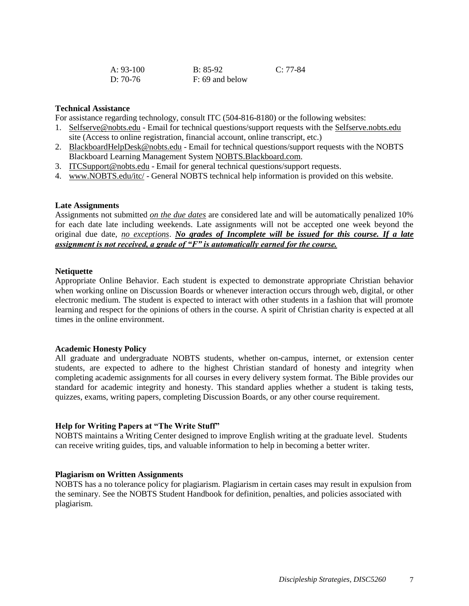| A: 93-100  | B: 85-92          | $C: 77-84$ |
|------------|-------------------|------------|
| D: $70-76$ | $F: 69$ and below |            |

#### **Technical Assistance**

For assistance regarding technology, consult ITC (504-816-8180) or the following websites:

- 1. Selfserve@nobts.edu Email for technical questions/support requests with the Selfserve.nobts.edu site (Access to online registration, financial account, online transcript, etc.)
- 2. BlackboardHelpDesk@nobts.edu Email for technical questions/support requests with the NOBTS Blackboard Learning Management System NOBTS.Blackboard.com.
- 3. ITCSupport@nobts.edu Email for general technical questions/support requests.
- 4. www.NOBTS.edu/itc/ General NOBTS technical help information is provided on this website.

#### **Late Assignments**

Assignments not submitted *on the due dates* are considered late and will be automatically penalized 10% for each date late including weekends. Late assignments will not be accepted one week beyond the original due date, *no exceptions*. *No grades of Incomplete will be issued for this course. If a late assignment is not received, a grade of "F" is automatically earned for the course.*

#### **Netiquette**

Appropriate Online Behavior. Each student is expected to demonstrate appropriate Christian behavior when working online on Discussion Boards or whenever interaction occurs through web, digital, or other electronic medium. The student is expected to interact with other students in a fashion that will promote learning and respect for the opinions of others in the course. A spirit of Christian charity is expected at all times in the online environment.

#### **Academic Honesty Policy**

All graduate and undergraduate NOBTS students, whether on-campus, internet, or extension center students, are expected to adhere to the highest Christian standard of honesty and integrity when completing academic assignments for all courses in every delivery system format. The Bible provides our standard for academic integrity and honesty. This standard applies whether a student is taking tests, quizzes, exams, writing papers, completing Discussion Boards, or any other course requirement.

#### **Help for Writing Papers at "The Write Stuff"**

NOBTS maintains a Writing Center designed to improve English writing at the graduate level. Students can receive writing guides, tips, and valuable information to help in becoming a better writer.

#### **Plagiarism on Written Assignments**

NOBTS has a no tolerance policy for plagiarism. Plagiarism in certain cases may result in expulsion from the seminary. See the NOBTS Student Handbook for definition, penalties, and policies associated with plagiarism.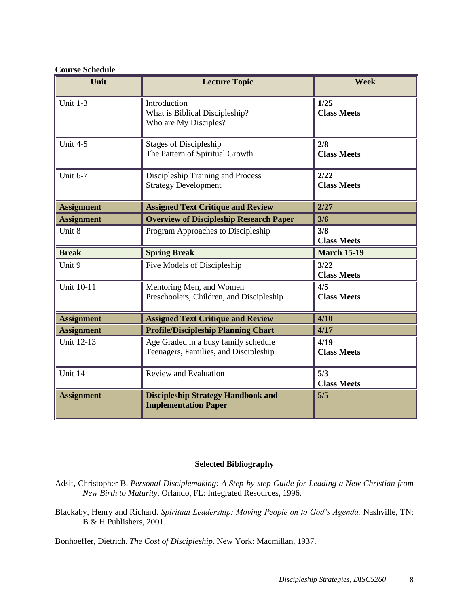## **Course Schedule**

| Unit              | <b>Lecture Topic</b>                                                    | <b>Week</b>                |
|-------------------|-------------------------------------------------------------------------|----------------------------|
| Unit $1-3$        | Introduction<br>What is Biblical Discipleship?<br>Who are My Disciples? | 1/25<br><b>Class Meets</b> |
| Unit $4-5$        | <b>Stages of Discipleship</b><br>The Pattern of Spiritual Growth        | 2/8<br><b>Class Meets</b>  |
| <b>Unit 6-7</b>   | Discipleship Training and Process<br><b>Strategy Development</b>        | 2/22<br><b>Class Meets</b> |
| <b>Assignment</b> | <b>Assigned Text Critique and Review</b>                                | 2/27                       |
| <b>Assignment</b> | <b>Overview of Discipleship Research Paper</b>                          | 3/6                        |
| Unit 8            | Program Approaches to Discipleship                                      | 3/8<br><b>Class Meets</b>  |
| <b>Break</b>      | <b>Spring Break</b>                                                     | <b>March 15-19</b>         |
| Unit 9            | Five Models of Discipleship                                             | 3/22<br><b>Class Meets</b> |
| <b>Unit 10-11</b> | Mentoring Men, and Women<br>Preschoolers, Children, and Discipleship    | 4/5<br><b>Class Meets</b>  |
| <b>Assignment</b> | <b>Assigned Text Critique and Review</b>                                | 4/10                       |
| <b>Assignment</b> | <b>Profile/Discipleship Planning Chart</b>                              | 4/17                       |
| Unit 12-13        | Age Graded in a busy family schedule                                    | 4/19                       |
|                   | Teenagers, Families, and Discipleship                                   | <b>Class Meets</b>         |
| Unit 14           | <b>Review and Evaluation</b>                                            | 5/3<br><b>Class Meets</b>  |

# **Selected Bibliography**

- Adsit, Christopher B. *Personal Disciplemaking: A Step-by-step Guide for Leading a New Christian from New Birth to Maturity*. Orlando, FL: Integrated Resources, 1996.
- Blackaby, Henry and Richard. *Spiritual Leadership: Moving People on to God's Agenda.* Nashville, TN: B & H Publishers, 2001.

Bonhoeffer, Dietrich. *The Cost of Discipleship.* New York: Macmillan, 1937.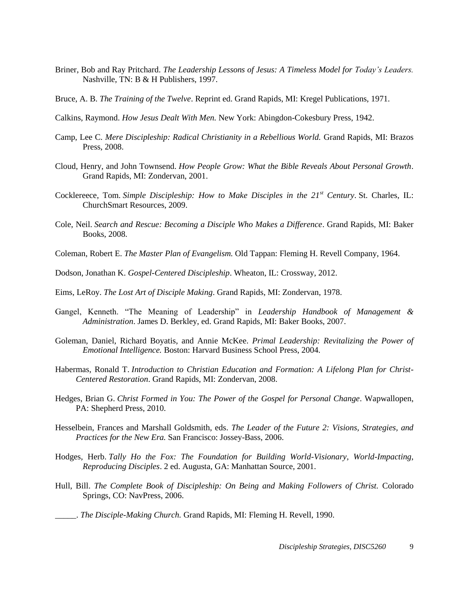- Briner, Bob and Ray Pritchard. *The Leadership Lessons of Jesus: A Timeless Model for Today's Leaders.* Nashville, TN: B & H Publishers, 1997.
- Bruce, A. B. *The Training of the Twelve*. Reprint ed. Grand Rapids, MI: Kregel Publications, 1971.
- Calkins, Raymond. *How Jesus Dealt With Men.* New York: Abingdon-Cokesbury Press, 1942.
- Camp, Lee C. *Mere Discipleship: Radical Christianity in a Rebellious World.* Grand Rapids, MI: Brazos Press, 2008.
- Cloud, Henry, and John Townsend. *How People Grow: What the Bible Reveals About Personal Growth*. Grand Rapids, MI: Zondervan, 2001.
- Cocklereece, Tom. *Simple Discipleship: How to Make Disciples in the 21st Century*. St. Charles, IL: ChurchSmart Resources, 2009.
- Cole, Neil. *Search and Rescue: Becoming a Disciple Who Makes a Difference*. Grand Rapids, MI: Baker Books, 2008.
- Coleman, Robert E. *The Master Plan of Evangelism.* Old Tappan: Fleming H. Revell Company, 1964.
- Dodson, Jonathan K. *Gospel-Centered Discipleship*. Wheaton, IL: Crossway, 2012.
- Eims, LeRoy. *The Lost Art of Disciple Making*. Grand Rapids, MI: Zondervan, 1978.
- Gangel, Kenneth. "The Meaning of Leadership" in *Leadership Handbook of Management & Administration*. James D. Berkley, ed. Grand Rapids, MI: Baker Books, 2007.
- Goleman, Daniel, Richard Boyatis, and Annie McKee. *Primal Leadership: Revitalizing the Power of Emotional Intelligence.* Boston: Harvard Business School Press, 2004.
- Habermas, Ronald T. *Introduction to Christian Education and Formation: A Lifelong Plan for Christ-Centered Restoration*. Grand Rapids, MI: Zondervan, 2008.
- Hedges, Brian G. *Christ Formed in You: The Power of the Gospel for Personal Change*. Wapwallopen, PA: Shepherd Press, 2010.
- Hesselbein, Frances and Marshall Goldsmith, eds. *The Leader of the Future 2: Visions, Strategies, and Practices for the New Era.* San Francisco: Jossey-Bass, 2006.
- Hodges, Herb. *Tally Ho the Fox: The Foundation for Building World-Visionary, World-Impacting, Reproducing Disciples*. 2 ed. Augusta, GA: Manhattan Source, 2001.
- Hull, Bill. *The Complete Book of Discipleship: On Being and Making Followers of Christ.* Colorado Springs, CO: NavPress, 2006.
	- \_\_\_\_\_. *The Disciple-Making Church.* Grand Rapids, MI: Fleming H. Revell, 1990.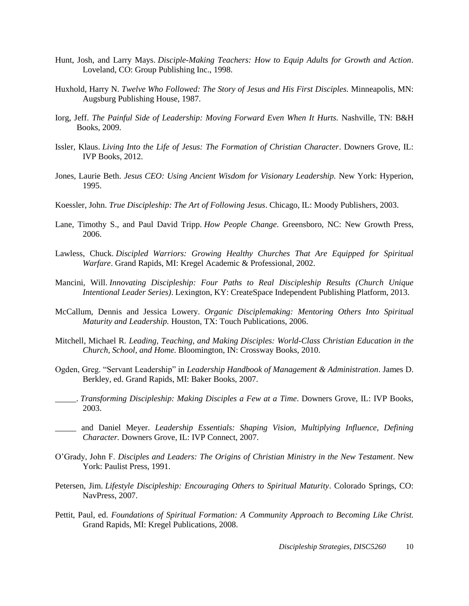- Hunt, Josh, and Larry Mays. *Disciple-Making Teachers: How to Equip Adults for Growth and Action*. Loveland, CO: Group Publishing Inc., 1998.
- Huxhold, Harry N. *Twelve Who Followed: The Story of Jesus and His First Disciples.* Minneapolis, MN: Augsburg Publishing House, 1987.
- Iorg, Jeff. *The Painful Side of Leadership: Moving Forward Even When It Hurts.* Nashville, TN: B&H Books, 2009.
- Issler, Klaus. *Living Into the Life of Jesus: The Formation of Christian Character*. Downers Grove, IL: IVP Books, 2012.
- Jones, Laurie Beth. *Jesus CEO: Using Ancient Wisdom for Visionary Leadership.* New York: Hyperion, 1995.
- Koessler, John. *True Discipleship: The Art of Following Jesus*. Chicago, IL: Moody Publishers, 2003.
- Lane, Timothy S., and Paul David Tripp. *How People Change*. Greensboro, NC: New Growth Press, 2006.
- Lawless, Chuck. *Discipled Warriors: Growing Healthy Churches That Are Equipped for Spiritual Warfare*. Grand Rapids, MI: Kregel Academic & Professional, 2002.
- Mancini, Will. *Innovating Discipleship: Four Paths to Real Discipleship Results (Church Unique Intentional Leader Series)*. Lexington, KY: CreateSpace Independent Publishing Platform, 2013.
- McCallum, Dennis and Jessica Lowery. *Organic Disciplemaking: Mentoring Others Into Spiritual Maturity and Leadership.* Houston, TX: Touch Publications, 2006.
- Mitchell, Michael R. *Leading, Teaching, and Making Disciples: World-Class Christian Education in the Church, School, and Home.* Bloomington, IN: Crossway Books, 2010.
- Ogden, Greg. "Servant Leadership" in *Leadership Handbook of Management & Administration*. James D. Berkley, ed. Grand Rapids, MI: Baker Books, 2007.
- \_\_\_\_\_. *Transforming Discipleship: Making Disciples a Few at a Time*. Downers Grove, IL: IVP Books, 2003.
- \_\_\_\_\_ and Daniel Meyer. *Leadership Essentials: Shaping Vision, Multiplying Influence, Defining Character.* Downers Grove, IL: IVP Connect, 2007.
- O'Grady, John F. *Disciples and Leaders: The Origins of Christian Ministry in the New Testament*. New York: Paulist Press, 1991.
- Petersen, Jim. *Lifestyle Discipleship: Encouraging Others to Spiritual Maturity*. Colorado Springs, CO: NavPress, 2007.
- Pettit, Paul, ed. *Foundations of Spiritual Formation: A Community Approach to Becoming Like Christ.*  Grand Rapids, MI: Kregel Publications, 2008.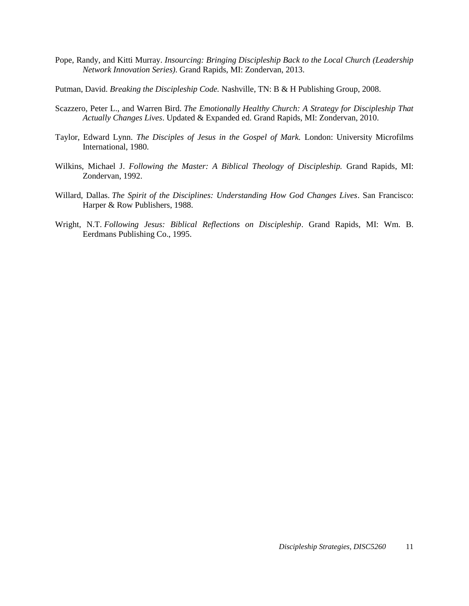- Pope, Randy, and Kitti Murray. *Insourcing: Bringing Discipleship Back to the Local Church (Leadership Network Innovation Series)*. Grand Rapids, MI: Zondervan, 2013.
- Putman, David. *Breaking the Discipleship Code.* Nashville, TN: B & H Publishing Group, 2008.
- Scazzero, Peter L., and Warren Bird. *The Emotionally Healthy Church: A Strategy for Discipleship That Actually Changes Lives*. Updated & Expanded ed. Grand Rapids, MI: Zondervan, 2010.
- Taylor, Edward Lynn. *The Disciples of Jesus in the Gospel of Mark.* London: University Microfilms International, 1980.
- Wilkins, Michael J. *Following the Master: A Biblical Theology of Discipleship.* Grand Rapids, MI: Zondervan, 1992.
- Willard, Dallas. *The Spirit of the Disciplines: Understanding How God Changes Lives*. San Francisco: Harper & Row Publishers, 1988.
- Wright, N.T. *Following Jesus: Biblical Reflections on Discipleship*. Grand Rapids, MI: Wm. B. Eerdmans Publishing Co., 1995.